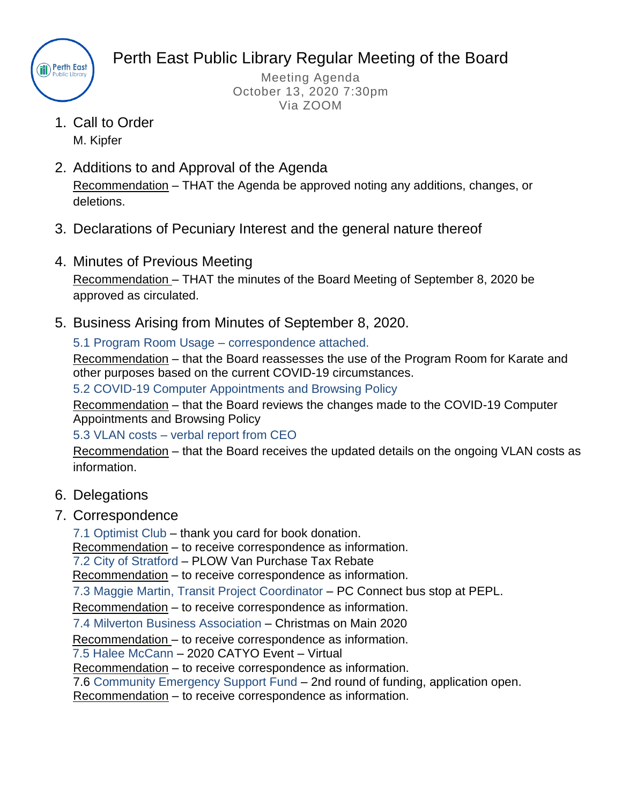

Perth East Public Library Regular Meeting of the Board

Meeting Agenda October 13, 2020 7:30pm Via ZOOM

- 1. Call to Order M. Kipfer
- 2. Additions to and Approval of the Agenda Recommendation – THAT the Agenda be approved noting any additions, changes, or deletions.
- 3. Declarations of Pecuniary Interest and the general nature thereof
- 4. Minutes of Previous Meeting Recommendation – THAT the minutes of the Board Meeting of September 8, 2020 be approved as circulated.
- 5. Business Arising from Minutes of September 8, 2020.

5.1 Program Room Usage – correspondence attached.

Recommendation – that the Board reassesses the use of the Program Room for Karate and other purposes based on the current COVID-19 circumstances.

5.2 COVID-19 Computer Appointments and Browsing Policy

Recommendation – that the Board reviews the changes made to the COVID-19 Computer Appointments and Browsing Policy

5.3 VLAN costs – verbal report from CEO

Recommendation – that the Board receives the updated details on the ongoing VLAN costs as information.

- 6. Delegations
- 7. Correspondence

7.1 Optimist Club – thank you card for book donation.

Recommendation – to receive correspondence as information.

7.2 City of Stratford – PLOW Van Purchase Tax Rebate

Recommendation – to receive correspondence as information.

7.3 Maggie Martin, Transit Project Coordinator – PC Connect bus stop at PEPL.

Recommendation – to receive correspondence as information.

7.4 Milverton Business Association – Christmas on Main 2020

Recommendation – to receive correspondence as information.

7.5 Halee McCann – 2020 CATYO Event – Virtual

Recommendation – to receive correspondence as information.

7.6 Community Emergency Support Fund – 2nd round of funding, application open.

Recommendation – to receive correspondence as information.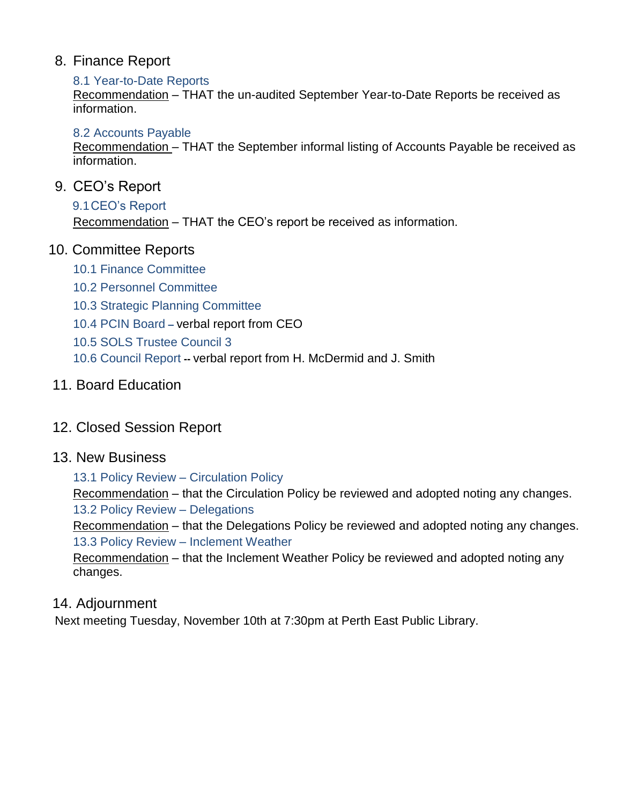### 8. Finance Report

#### 8.1 Year-to-Date Reports

Recommendation – THAT the un-audited September Year-to-Date Reports be received as information.

#### 8.2 Accounts Payable

Recommendation – THAT the September informal listing of Accounts Payable be received as information.

#### 9. CEO's Report

#### 9.1CEO's Report

Recommendation – THAT the CEO's report be received as information.

#### 10. Committee Reports

- 10.1 Finance Committee
- 10.2 Personnel Committee
- 10.3 Strategic Planning Committee
- 10.4 PCIN Board **–** verbal report from CEO
- 10.5 SOLS Trustee Council 3
- 10.6 Council Report **--** verbal report from H. McDermid and J. Smith

#### 11. Board Education

## 12. Closed Session Report

#### 13. New Business

#### 13.1 Policy Review – Circulation Policy

Recommendation – that the Circulation Policy be reviewed and adopted noting any changes. 13.2 Policy Review – Delegations

Recommendation – that the Delegations Policy be reviewed and adopted noting any changes. 13.3 Policy Review – Inclement Weather

Recommendation – that the Inclement Weather Policy be reviewed and adopted noting any changes.

#### 14. Adjournment

Next meeting Tuesday, November 10th at 7:30pm at Perth East Public Library.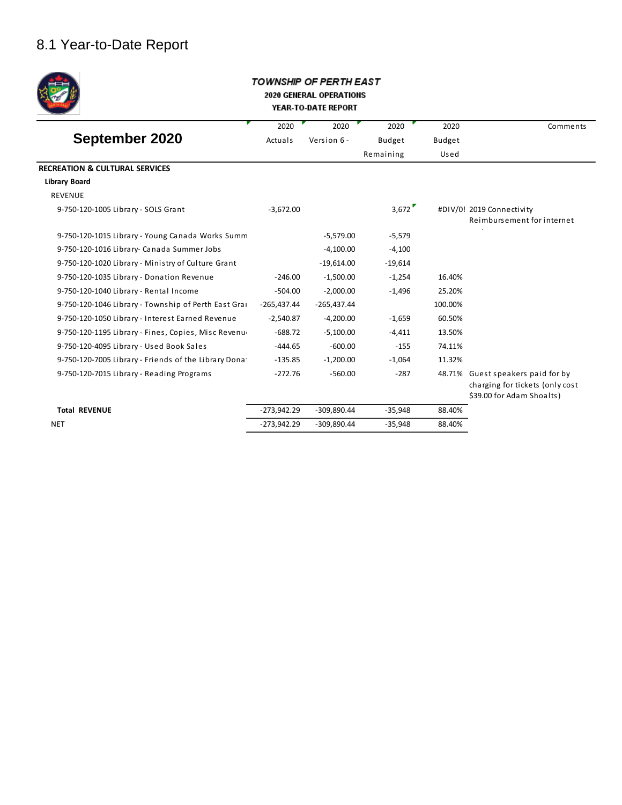## 8.1 Year-to-Date Report



#### TOWNSHIP OF PERTH EAST 2020 GENERAL OPERATIONS YEAR-TO-DATE REPORT

|                                                      | 2020          | 2020          | 2020      | 2020          | Comments                                                                                   |
|------------------------------------------------------|---------------|---------------|-----------|---------------|--------------------------------------------------------------------------------------------|
| September 2020                                       | Actuals       | Version 6 -   | Budget    | <b>Budget</b> |                                                                                            |
|                                                      |               |               | Remaining | Used          |                                                                                            |
| <b>RECREATION &amp; CULTURAL SERVICES</b>            |               |               |           |               |                                                                                            |
| <b>Library Board</b>                                 |               |               |           |               |                                                                                            |
| <b>REVENUE</b>                                       |               |               |           |               |                                                                                            |
| 9-750-120-1005 Library - SOLS Grant                  | $-3,672.00$   |               | 3,672     |               | #DIV/0! 2019 Connectivity<br>Reimbursement for internet                                    |
| 9-750-120-1015 Library - Young Canada Works Summ     |               | $-5,579.00$   | $-5,579$  |               |                                                                                            |
| 9-750-120-1016 Library- Canada Summer Jobs           |               | $-4,100.00$   | $-4,100$  |               |                                                                                            |
| 9-750-120-1020 Library - Ministry of Culture Grant   |               | $-19,614.00$  | $-19,614$ |               |                                                                                            |
| 9-750-120-1035 Library - Donation Revenue            | $-246.00$     | $-1,500.00$   | $-1,254$  | 16.40%        |                                                                                            |
| 9-750-120-1040 Library - Rental Income               | $-504.00$     | $-2.000.00$   | $-1.496$  | 25.20%        |                                                                                            |
| 9-750-120-1046 Library - Township of Perth East Gra  | $-265,437.44$ | $-265.437.44$ |           | 100.00%       |                                                                                            |
| 9-750-120-1050 Library - Interest Earned Revenue     | $-2,540.87$   | $-4,200.00$   | $-1,659$  | 60.50%        |                                                                                            |
| 9-750-120-1195 Library - Fines, Copies, Misc Revenu  | $-688.72$     | $-5,100.00$   | $-4,411$  | 13.50%        |                                                                                            |
| 9-750-120-4095 Library - Used Book Sales             | $-444.65$     | $-600.00$     | $-155$    | 74.11%        |                                                                                            |
| 9-750-120-7005 Library - Friends of the Library Dona | $-135.85$     | $-1,200.00$   | $-1.064$  | 11.32%        |                                                                                            |
| 9-750-120-7015 Library - Reading Programs            | $-272.76$     | $-560.00$     | $-287$    | 48.71%        | Guest speakers paid for by<br>charging for tickets (only cost<br>\$39.00 for Adam Shoalts) |
| <b>Total REVENUE</b>                                 | $-273,942.29$ | $-309,890.44$ | $-35,948$ | 88.40%        |                                                                                            |
| <b>NET</b>                                           | $-273,942.29$ | $-309.890.44$ | $-35,948$ | 88.40%        |                                                                                            |
|                                                      |               |               |           |               |                                                                                            |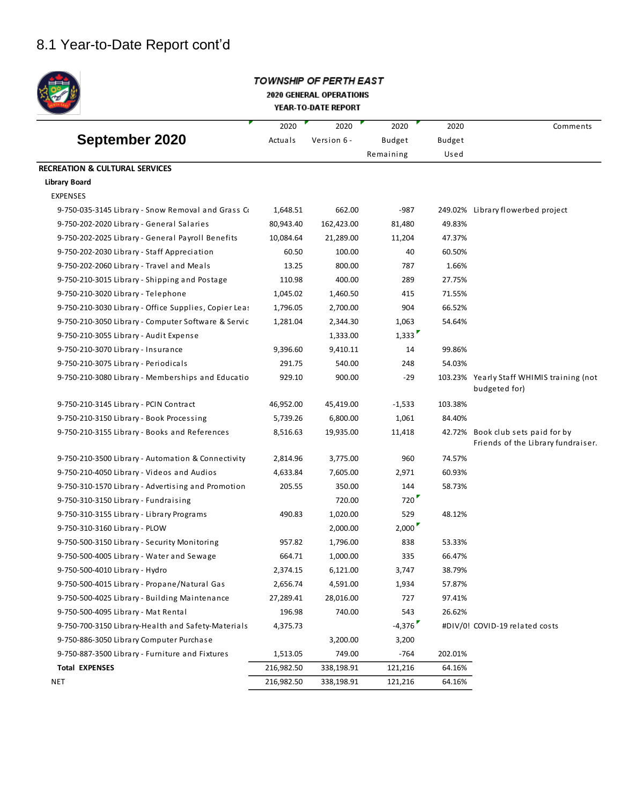# 8.1 Year-to-Date Report cont'd



#### TOWNSHIP OF PERTH EAST 2020 GENERAL OPERATIONS YEAR-TO-DATE REPORT

|                                                       | 2020       | 2020        | 2020          | 2020    | Comments                                                         |
|-------------------------------------------------------|------------|-------------|---------------|---------|------------------------------------------------------------------|
| September 2020                                        | Actuals    | Version 6 - | <b>Budget</b> | Budget  |                                                                  |
|                                                       |            |             | Remaining     | Used    |                                                                  |
| <b>RECREATION &amp; CULTURAL SERVICES</b>             |            |             |               |         |                                                                  |
| Library Board                                         |            |             |               |         |                                                                  |
| <b>EXPENSES</b>                                       |            |             |               |         |                                                                  |
| 9-750-035-3145 Library - Snow Removal and Grass Co    | 1,648.51   | 662.00      | $-987$        |         | 249.02% Library flowerbed project                                |
| 9-750-202-2020 Library - General Salaries             | 80,943.40  | 162,423.00  | 81,480        | 49.83%  |                                                                  |
| 9-750-202-2025 Library - General Payroll Benefits     | 10,084.64  | 21,289.00   | 11,204        | 47.37%  |                                                                  |
| 9-750-202-2030 Library - Staff Appreciation           | 60.50      | 100.00      | 40            | 60.50%  |                                                                  |
| 9-750-202-2060 Library - Travel and Meals             | 13.25      | 800.00      | 787           | 1.66%   |                                                                  |
| 9-750-210-3015 Library - Shipping and Postage         | 110.98     | 400.00      | 289           | 27.75%  |                                                                  |
| 9-750-210-3020 Library - Telephone                    | 1,045.02   | 1,460.50    | 415           | 71.55%  |                                                                  |
| 9-750-210-3030 Library - Office Supplies, Copier Leas | 1,796.05   | 2,700.00    | 904           | 66.52%  |                                                                  |
| 9-750-210-3050 Library - Computer Software & Servic   | 1,281.04   | 2,344.30    | 1,063         | 54.64%  |                                                                  |
| 9-750-210-3055 Library - Audit Expense                |            | 1,333.00    | 1,333         |         |                                                                  |
| 9-750-210-3070 Library - Insurance                    | 9,396.60   | 9,410.11    | 14            | 99.86%  |                                                                  |
| 9-750-210-3075 Library - Periodicals                  | 291.75     | 540.00      | 248           | 54.03%  |                                                                  |
| 9-750-210-3080 Library - Memberships and Educatio     | 929.10     | 900.00      | $-29$         |         | 103.23% Yearly Staff WHIMIS training (not<br>budgeted for)       |
| 9-750-210-3145 Library - PCIN Contract                | 46,952.00  | 45,419.00   | $-1,533$      | 103.38% |                                                                  |
| 9-750-210-3150 Library - Book Processing              | 5,739.26   | 6,800.00    | 1,061         | 84.40%  |                                                                  |
| 9-750-210-3155 Library - Books and References         | 8,516.63   | 19,935.00   | 11,418        | 42.72%  | Book club sets paid for by<br>Friends of the Library fundraiser. |
| 9-750-210-3500 Library - Automation & Connectivity    | 2,814.96   | 3,775.00    | 960           | 74.57%  |                                                                  |
| 9-750-210-4050 Library - Videos and Audios            | 4,633.84   | 7,605.00    | 2,971         | 60.93%  |                                                                  |
| 9-750-310-1570 Library - Advertising and Promotion    | 205.55     | 350.00      | 144           | 58.73%  |                                                                  |
| 9-750-310-3150 Library - Fundraising                  |            | 720.00      | 720           |         |                                                                  |
| 9-750-310-3155 Library - Library Programs             | 490.83     | 1,020.00    | 529           | 48.12%  |                                                                  |
| 9-750-310-3160 Library - PLOW                         |            | 2,000.00    | 2,000         |         |                                                                  |
| 9-750-500-3150 Library - Security Monitoring          | 957.82     | 1,796.00    | 838           | 53.33%  |                                                                  |
| 9-750-500-4005 Library - Water and Sewage             | 664.71     | 1,000.00    | 335           | 66.47%  |                                                                  |
| 9-750-500-4010 Library - Hydro                        | 2,374.15   | 6,121.00    | 3,747         | 38.79%  |                                                                  |
| 9-750-500-4015 Library - Propane/Natural Gas          | 2,656.74   | 4,591.00    | 1,934         | 57.87%  |                                                                  |
| 9-750-500-4025 Library - Building Maintenance         | 27,289.41  | 28,016.00   | 727           | 97.41%  |                                                                  |
| 9-750-500-4095 Library - Mat Rental                   | 196.98     | 740.00      | 543           | 26.62%  |                                                                  |
| 9-750-700-3150 Library-Health and Safety-Materials    | 4,375.73   |             | $-4,376$      |         | #DIV/0! COVID-19 related costs                                   |
| 9-750-886-3050 Library Computer Purchase              |            | 3,200.00    | 3,200         |         |                                                                  |
| 9-750-887-3500 Library - Furniture and Fixtures       | 1,513.05   | 749.00      | $-764$        | 202.01% |                                                                  |
| <b>Total EXPENSES</b>                                 | 216,982.50 | 338,198.91  | 121,216       | 64.16%  |                                                                  |
| NET                                                   | 216,982.50 | 338,198.91  | 121,216       | 64.16%  |                                                                  |
|                                                       |            |             |               |         |                                                                  |